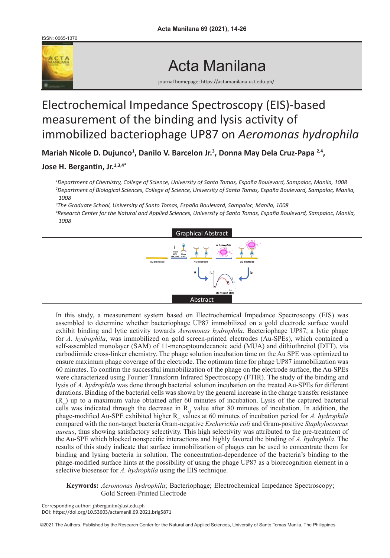ISSN: 0065-1370



## Acta Manilana

journal homepage: https://actamanilana.ust.edu.ph/

### Electrochemical Impedance Spectroscopy (EIS)-based measurement of the binding and lysis activity of immobilized bacteriophage UP87 on *Aeromonas hydrophila*

Mariah Nicole D. Dujunco<sup>1</sup>, Danilo V. Barcelon Jr.<sup>3</sup>, Donna May Dela Cruz-Papa <sup>2,4</sup>,

#### **Jose H. Bergantin, Jr.1,3,4\***

*1 Department of Chemistry, College of Science, University of Santo Tomas, España Boulevard, Sampaloc, Manila, 1008 2 Department of Biological Sciences, College of Science, University of Santo Tomas, España Boulevard, Sampaloc, Manila, 1008*

*3 The Graduate School, University of Santo Tomas, España Boulevard, Sampaloc, Manila, 1008* 

*4 Research Center for the Natural and Applied Sciences, University of Santo Tomas, España Boulevard, Sampaloc, Manila, 1008*



In this study, a measurement system based on Electrochemical Impedance Spectroscopy (EIS) was assembled to determine whether bacteriophage UP87 immobilized on a gold electrode surface would exhibit binding and lytic activity towards *Aeromonas hydrophila*. Bacteriophage UP87, a lytic phage for *A. hydrophila*, was immobilized on gold screen-printed electrodes (Au-SPEs), which contained a self-assembled monolayer (SAM) of 11-mercaptoundecanoic acid (MUA) and dithiothreitol (DTT), via carbodiimide cross-linker chemistry. The phage solution incubation time on the Au SPE was optimized to ensure maximum phage coverage of the electrode. The optimum time for phage UP87 immobilization was 60 minutes. To confirm the successful immobilization of the phage on the electrode surface, the Au-SPEs were characterized using Fourier Transform Infrared Spectroscopy (FTIR). The study of the binding and lysis of *A. hydrophila* was done through bacterial solution incubation on the treated Au-SPEs for different durations. Binding of the bacterial cells was shown by the general increase in the charge transfer resistance  $(R<sub>at</sub>)$  up to a maximum value obtained after 60 minutes of incubation. Lysis of the captured bacterial cells was indicated through the decrease in  $R_{c}$  value after 80 minutes of incubation. In addition, the phage-modified Au-SPE exhibited higher  $R<sub>ct</sub>$  values at 60 minutes of incubation period for *A. hydrophila* compared with the non-target bacteria Gram-negative *Escherichia coli* and Gram-positive *Staphylococcus aureus*, thus showing satisfactory selectivity. This high selectivity was attributed to the pre-treatment of the Au-SPE which blocked nonspecific interactions and highly favored the binding of *A. hydrophila*. The results of this study indicate that surface immobilization of phages can be used to concentrate them for binding and lysing bacteria in solution. The concentration-dependence of the bacteria's binding to the phage-modified surface hints at the possibility of using the phage UP87 as a biorecognition element in a selective biosensor for *A. hydrophila* using the EIS technique.

**Keywords:** *Aeromonas hydrophila*; Bacteriophage; Electrochemical Impedance Spectroscopy; Gold Screen-Printed Electrode

Corresponding author: jhbergantin@ust.edu.ph DOI: https://doi.org/10.53603/actamanil.69.2021.brlg5871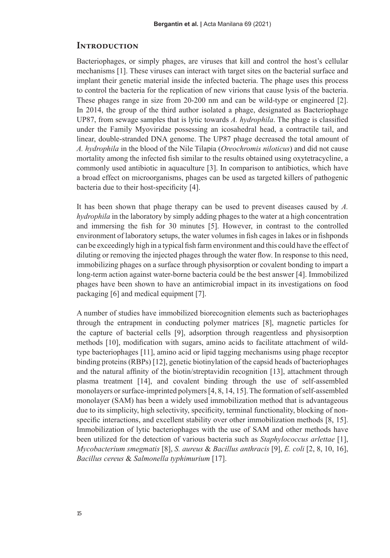#### **Introduction**

Bacteriophages, or simply phages, are viruses that kill and control the host's cellular mechanisms [1]. These viruses can interact with target sites on the bacterial surface and implant their genetic material inside the infected bacteria. The phage uses this process to control the bacteria for the replication of new virions that cause lysis of the bacteria. These phages range in size from 20-200 nm and can be wild-type or engineered [2]. In 2014, the group of the third author isolated a phage, designated as Bacteriophage UP87, from sewage samples that is lytic towards *A. hydrophila*. The phage is classified under the Family Myoviridae possessing an icosahedral head, a contractile tail, and linear, double-stranded DNA genome. The UP87 phage decreased the total amount of *A. hydrophila* in the blood of the Nile Tilapia (*Oreochromis niloticus*) and did not cause mortality among the infected fish similar to the results obtained using oxytetracycline, a commonly used antibiotic in aquaculture [3]. In comparison to antibiotics, which have a broad effect on microorganisms, phages can be used as targeted killers of pathogenic bacteria due to their host-specificity [4].

It has been shown that phage therapy can be used to prevent diseases caused by *A. hydrophila* in the laboratory by simply adding phages to the water at a high concentration and immersing the fish for 30 minutes [5]. However, in contrast to the controlled environment of laboratory setups, the water volumes in fish cages in lakes or in fishponds can be exceedingly high in a typical fish farm environment and this could have the effect of diluting or removing the injected phages through the water flow. In response to this need, immobilizing phages on a surface through physisorption or covalent bonding to impart a long-term action against water-borne bacteria could be the best answer [4]. Immobilized phages have been shown to have an antimicrobial impact in its investigations on food packaging [6] and medical equipment [7].

A number of studies have immobilized biorecognition elements such as bacteriophages through the entrapment in conducting polymer matrices [8], magnetic particles for the capture of bacterial cells [9], adsorption through reagentless and physisorption methods [10], modification with sugars, amino acids to facilitate attachment of wildtype bacteriophages [11], amino acid or lipid tagging mechanisms using phage receptor binding proteins (RBPs) [12], genetic biotinylation of the capsid heads of bacteriophages and the natural affinity of the biotin/streptavidin recognition [13], attachment through plasma treatment [14], and covalent binding through the use of self-assembled monolayers or surface-imprinted polymers [4, 8, 14, 15]. The formation of self-assembled monolayer (SAM) has been a widely used immobilization method that is advantageous due to its simplicity, high selectivity, specificity, terminal functionality, blocking of nonspecific interactions, and excellent stability over other immobilization methods [8, 15]. Immobilization of lytic bacteriophages with the use of SAM and other methods have been utilized for the detection of various bacteria such as *Staphylococcus arlettae* [1], *Mycobacterium smegmatis* [8], *S. aureus* & *Bacillus anthracis* [9], *E. coli* [2, 8, 10, 16], *Bacillus cereus* & *Salmonella typhimurium* [17].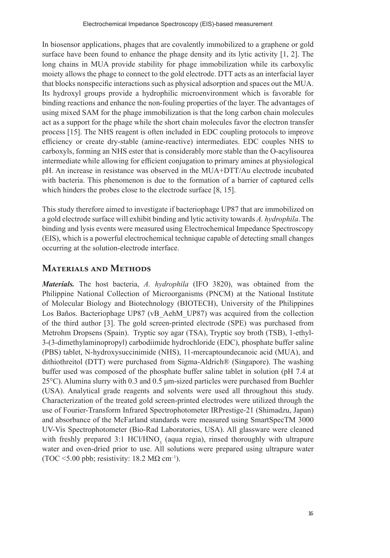In biosensor applications, phages that are covalently immobilized to a graphene or gold surface have been found to enhance the phage density and its lytic activity  $[1, 2]$ . The long chains in MUA provide stability for phage immobilization while its carboxylic moiety allows the phage to connect to the gold electrode. DTT acts as an interfacial layer that blocks nonspecific interactions such as physical adsorption and spaces out the MUA. Its hydroxyl groups provide a hydrophilic microenvironment which is favorable for binding reactions and enhance the non-fouling properties of the layer. The advantages of using mixed SAM for the phage immobilization is that the long carbon chain molecules act as a support for the phage while the short chain molecules favor the electron transfer process [15]. The NHS reagent is often included in EDC coupling protocols to improve efficiency or create dry-stable (amine-reactive) intermediates. EDC couples NHS to carboxyls, forming an NHS ester that is considerably more stable than the O-acylisourea intermediate while allowing for efficient conjugation to primary amines at physiological pH. An increase in resistance was observed in the MUA+DTT/Au electrode incubated with bacteria. This phenomenon is due to the formation of a barrier of captured cells which hinders the probes close to the electrode surface [8, 15].

This study therefore aimed to investigate if bacteriophage UP87 that are immobilized on a gold electrode surface will exhibit binding and lytic activity towards *A. hydrophila*. The binding and lysis events were measured using Electrochemical Impedance Spectroscopy (EIS), which is a powerful electrochemical technique capable of detecting small changes occurring at the solution-electrode interface.

#### **Materials and Methods**

*Materials.* The host bacteria, *A. hydrophila* (IFO 3820), was obtained from the Philippine National Collection of Microorganisms (PNCM) at the National Institute of Molecular Biology and Biotechnology (BIOTECH), University of the Philippines Los Baños. Bacteriophage UP87 (vB\_AehM\_UP87) was acquired from the collection of the third author [3]. The gold screen-printed electrode (SPE) was purchased from Metrohm Dropsens (Spain). Tryptic soy agar (TSA), Tryptic soy broth (TSB), 1-ethyl-3-(3-dimethylaminopropyl) carbodiimide hydrochloride (EDC), phosphate buffer saline (PBS) tablet, N-hydroxysuccinimide (NHS), 11-mercaptoundecanoic acid (MUA), and dithiothreitol (DTT) were purchased from Sigma-Aldrich® (Singapore). The washing buffer used was composed of the phosphate buffer saline tablet in solution (pH 7.4 at 25°C). Alumina slurry with 0.3 and 0.5 μm-sized particles were purchased from Buehler (USA). Analytical grade reagents and solvents were used all throughout this study. Characterization of the treated gold screen-printed electrodes were utilized through the use of Fourier-Transform Infrared Spectrophotometer IRPrestige-21 (Shimadzu, Japan) and absorbance of the McFarland standards were measured using SmartSpecTM 3000 UV-Vis Spectrophotometer (Bio-Rad Laboratories, USA). All glassware were cleaned with freshly prepared  $3:1$  HCl/HNO<sub>3</sub> (aqua regia), rinsed thoroughly with ultrapure water and oven-dried prior to use. All solutions were prepared using ultrapure water (TOC <5.00 pbb; resistivity:  $18.2 \text{ M}\Omega \text{ cm}^{-1}$ ).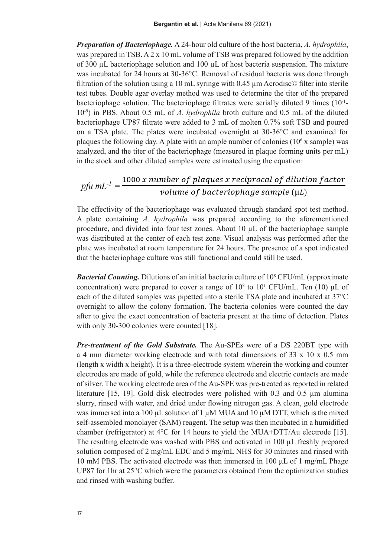*Preparation of Bacteriophage.* A 24-hour old culture of the host bacteria, *A. hydrophila*, was prepared in TSB. A 2 x 10 mL volume of TSB was prepared followed by the addition of 300  $\mu$ L bacteriophage solution and 100  $\mu$ L of host bacteria suspension. The mixture was incubated for 24 hours at 30-36°C. Removal of residual bacteria was done through filtration of the solution using a 10 mL syringe with  $0.45 \mu$ m Acrodisc© filter into sterile test tubes. Double agar overlay method was used to determine the titer of the prepared bacteriophage solution. The bacteriophage filtrates were serially diluted 9 times (10-1- 10-9) in PBS. About 0.5 mL of *A. hydrophila* broth culture and 0.5 mL of the diluted bacteriophage UP87 filtrate were added to 3 mL of molten 0.7% soft TSB and poured on a TSA plate. The plates were incubated overnight at 30-36°C and examined for plaques the following day. A plate with an ample number of colonies  $(10<sup>6</sup> x$  sample) was analyzed, and the titer of the bacteriophage (measured in plaque forming units per mL) in the stock and other diluted samples were estimated using the equation:

# $p f u \, m L^{-1} = \frac{1000 \, x \, number \, of \, plaques \, x \, reciprocal \, of \, dilution \, factor}{volume \, of \, bacteriophage \, sample \, (\mu L)}$

The effectivity of the bacteriophage was evaluated through standard spot test method. A plate containing *A. hydrophila* was prepared according to the aforementioned procedure, and divided into four test zones. About  $10 \mu L$  of the bacteriophage sample was distributed at the center of each test zone. Visual analysis was performed after the plate was incubated at room temperature for 24 hours. The presence of a spot indicated that the bacteriophage culture was still functional and could still be used.

**Bacterial Counting.** Dilutions of an initial bacteria culture of 10<sup>8</sup> CFU/mL (approximate concentration) were prepared to cover a range of  $10^8$  to  $10^1$  CFU/mL. Ten (10)  $\mu$ L of each of the diluted samples was pipetted into a sterile TSA plate and incubated at 37°C overnight to allow the colony formation. The bacteria colonies were counted the day after to give the exact concentration of bacteria present at the time of detection. Plates with only 30-300 colonies were counted [18].

*Pre-treatment of the Gold Substrate.* The Au-SPEs were of a DS 220BT type with a 4 mm diameter working electrode and with total dimensions of 33 x 10 x 0.5 mm (length x width x height). It is a three-electrode system wherein the working and counter electrodes are made of gold, while the reference electrode and electric contacts are made of silver. The working electrode area of the Au-SPE was pre-treated as reported in related literature [15, 19]. Gold disk electrodes were polished with 0.3 and 0.5 µm alumina slurry, rinsed with water, and dried under flowing nitrogen gas. A clean, gold electrode was immersed into a 100  $\mu$ L solution of 1  $\mu$ M MUA and 10  $\mu$ M DTT, which is the mixed self-assembled monolayer (SAM) reagent. The setup was then incubated in a humidified chamber (refrigerator) at 4°C for 14 hours to yield the MUA+DTT/Au electrode [15]. The resulting electrode was washed with PBS and activated in  $100 \mu L$  freshly prepared solution composed of 2 mg/mL EDC and 5 mg/mL NHS for 30 minutes and rinsed with 10 mM PBS. The activated electrode was then immersed in 100 µL of 1 mg/mL Phage UP87 for 1hr at 25°C which were the parameters obtained from the optimization studies and rinsed with washing buffer.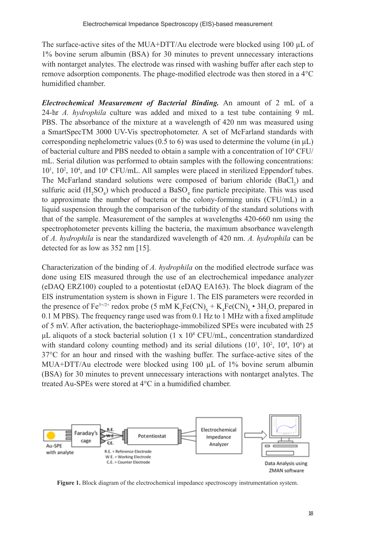The surface-active sites of the MUA+DTT/Au electrode were blocked using 100 µL of 1% bovine serum albumin (BSA) for 30 minutes to prevent unnecessary interactions with nontarget analytes. The electrode was rinsed with washing buffer after each step to remove adsorption components. The phage-modified electrode was then stored in a 4°C humidified chamber.

*Electrochemical Measurement of Bacterial Binding.* An amount of 2 mL of a 24-hr *A. hydrophila* culture was added and mixed to a test tube containing 9 mL PBS. The absorbance of the mixture at a wavelength of 420 nm was measured using a SmartSpecTM 3000 UV-Vis spectrophotometer. A set of McFarland standards with corresponding nephelometric values (0.5 to 6) was used to determine the volume (in  $\mu$ L) of bacterial culture and PBS needed to obtain a sample with a concentration of  $10^8$  CFU/ mL. Serial dilution was performed to obtain samples with the following concentrations: 10<sup>1</sup>, 10<sup>2</sup>, 10<sup>4</sup>, and 10<sup>6</sup> CFU/mL. All samples were placed in sterilized Eppendorf tubes. The McFarland standard solutions were composed of barium chloride  $(BaCl<sub>2</sub>)$  and sulfuric acid  $(H_2SO_4)$  which produced a BaS $O_4$  fine particle precipitate. This was used to approximate the number of bacteria or the colony-forming units (CFU/mL) in a liquid suspension through the comparison of the turbidity of the standard solutions with that of the sample. Measurement of the samples at wavelengths 420-660 nm using the spectrophotometer prevents killing the bacteria, the maximum absorbance wavelength of *A. hydrophila* is near the standardized wavelength of 420 nm. *A. hydrophila* can be detected for as low as 352 nm [15].

Characterization of the binding of *A. hydrophila* on the modified electrode surface was done using EIS measured through the use of an electrochemical impedance analyzer (eDAQ ERZ100) coupled to a potentiostat (eDAQ EA163). The block diagram of the EIS instrumentation system is shown in Figure 1. The EIS parameters were recorded in the presence of Fe<sup>3+/2+</sup> redox probe  $(5 \text{ mM } K_3 \text{Fe(CN)}_6 + K_4 \text{Fe(CN)}_6 \cdot 3H_2O$ , prepared in 0.1 M PBS). The frequency range used was from 0.1 Hz to 1 MHz with a fixed amplitude of 5 mV. After activation, the bacteriophage-immobilized SPEs were incubated with 25 μL aliquots of a stock bacterial solution  $(1 \times 10^8 \text{ CFU/mL})$ , concentration standardized with standard colony counting method) and its serial dilutions  $(10^1, 10^2, 10^4, 10^6)$  at 37°C for an hour and rinsed with the washing buffer. The surface-active sites of the MUA+DTT/Au electrode were blocked using  $100 \mu L$  of  $1\%$  bovine serum albumin (BSA) for 30 minutes to prevent unnecessary interactions with nontarget analytes. The treated Au-SPEs were stored at 4°C in a humidified chamber.



**Figure 1.** Block diagram of the electrochemical impedance spectroscopy instrumentation system.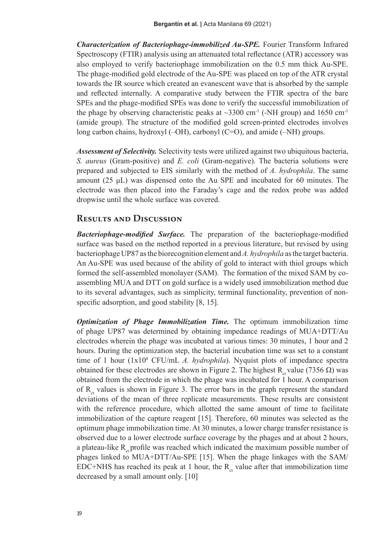*Characterization of Bacteriophage-immobilized Au-SPE.* Fourier Transform Infrared Spectroscopy (FTIR) analysis using an attenuated total reflectance (ATR) accessory was also employed to verify bacteriophage immobilization on the 0.5 mm thick Au-SPE. The phage-modified gold electrode of the Au-SPE was placed on top of the ATR crystal towards the IR source which created an evanescent wave that is absorbed by the sample and reflected internally. A comparative study between the FTIR spectra of the bare SPEs and the phage-modified SPEs was done to verify the successful immobilization of the phage by observing characteristic peaks at  $\sim$ 3300 cm<sup>-1</sup> (-NH group) and 1650 cm<sup>-1</sup> (amide group). The structure of the modified gold screen-printed electrodes involves long carbon chains, hydroxyl (–OH), carbonyl (C=O), and amide (–NH) groups.

*Assessment of Selectivity.* Selectivity tests were utilized against two ubiquitous bacteria, *S. aureus* (Gram-positive) and *E. coli* (Gram-negative). The bacteria solutions were prepared and subjected to EIS similarly with the method of *A. hydrophila*. The same amount  $(25 \mu L)$  was dispensed onto the Au SPE and incubated for 60 minutes. The electrode was then placed into the Faraday's cage and the redox probe was added dropwise until the whole surface was covered.

#### **Results and Discussion**

*Bacteriophage-modified Surface.* The preparation of the bacteriophage-modified surface was based on the method reported in a previous literature, but revised by using bacteriophage UP87 as the biorecognition element and *A. hydrophila* as the target bacteria. An Au-SPE was used because of the ability of gold to interact with thiol groups which formed the self-assembled monolayer (SAM). The formation of the mixed SAM by coassembling MUA and DTT on gold surface is a widely used immobilization method due to its several advantages, such as simplicity, terminal functionality, prevention of nonspecific adsorption, and good stability [8, 15].

*Optimization of Phage Immobilization Time.* The optimum immobilization time of phage UP87 was determined by obtaining impedance readings of MUA+DTT/Au electrodes wherein the phage was incubated at various times: 30 minutes, 1 hour and 2 hours. During the optimization step, the bacterial incubation time was set to a constant time of 1 hour (1x10<sup>8</sup> CFU/mL *A. hydrophila*). Nyquist plots of impedance spectra obtained for these electrodes are shown in Figure 2. The highest R<sub>ct</sub> value (7356 Ω) was obtained from the electrode in which the phage was incubated for 1 hour. A comparison of  $R_{at}$  values is shown in Figure 3. The error bars in the graph represent the standard deviations of the mean of three replicate measurements. These results are consistent with the reference procedure, which allotted the same amount of time to facilitate immobilization of the capture reagent [15]. Therefore, 60 minutes was selected as the optimum phage immobilization time. At 30 minutes, a lower charge transfer resistance is observed due to a lower electrode surface coverage by the phages and at about 2 hours, a plateau-like  $R_{\text{at}}$  profile was reached which indicated the maximum possible number of phages linked to MUA+DTT/Au-SPE [15]. When the phage linkages with the SAM/ EDC+NHS has reached its peak at 1 hour, the  $R<sub>ct</sub>$  value after that immobilization time decreased by a small amount only. [10]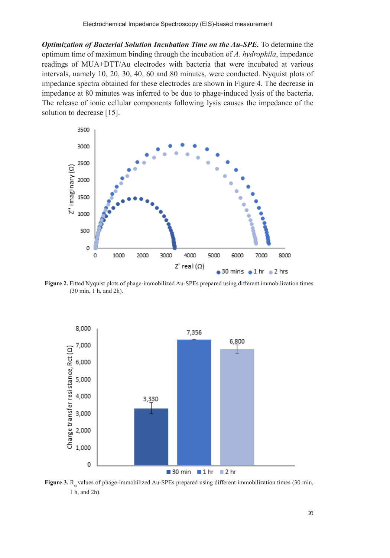*Optimization of Bacterial Solution Incubation Time on the Au-SPE.* To determine the optimum time of maximum binding through the incubation of *A. hydrophila*, impedance readings of MUA+DTT/Au electrodes with bacteria that were incubated at various intervals, namely 10, 20, 30, 40, 60 and 80 minutes, were conducted. Nyquist plots of impedance spectra obtained for these electrodes are shown in Figure 4. The decrease in impedance at 80 minutes was inferred to be due to phage-induced lysis of the bacteria. The release of ionic cellular components following lysis causes the impedance of the solution to decrease [15].



**Figure 2.** Fitted Nyquist plots of phage-immobilized Au-SPEs prepared using different immobilization times (30 min, 1 h, and 2h).



Figure 3. R<sub>a</sub> values of phage-immobilized Au-SPEs prepared using different immobilization times (30 min, 1 h, and 2h).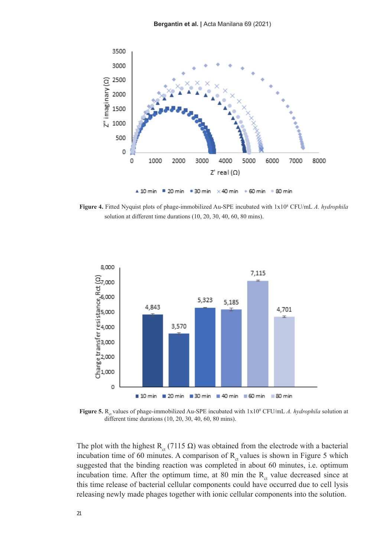

**Figure 4.** Fitted Nyquist plots of phage-immobilized Au-SPE incubated with  $1 \times 10^8$  CFU/mL *A. hydrophila* solution at different time durations (10, 20, 30, 40, 60, 80 mins).



**Figure 5.** R<sub>ct</sub> values of phage-immobilized Au-SPE incubated with  $1x10^8$  CFU/mL *A. hydrophila* solution at different time durations (10, 20, 30, 40, 60, 80 mins).

The plot with the highest R<sub>ct</sub> (7115 Ω) was obtained from the electrode with a bacterial incubation time of 60 minutes. A comparison of  $R<sub>ct</sub>$  values is shown in Figure 5 which suggested that the binding reaction was completed in about 60 minutes, i.e. optimum incubation time. After the optimum time, at 80 min the  $R<sub>ct</sub>$  value decreased since at this time release of bacterial cellular components could have occurred due to cell lysis releasing newly made phages together with ionic cellular components into the solution.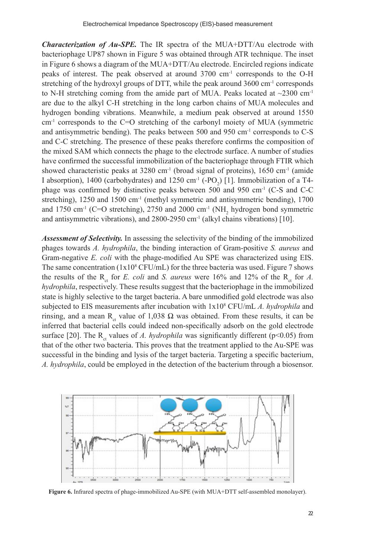*Characterization of Au-SPE.* The IR spectra of the MUA+DTT/Au electrode with bacteriophage UP87 shown in Figure 5 was obtained through ATR technique. The inset in Figure 6 shows a diagram of the MUA+DTT/Au electrode. Encircled regions indicate peaks of interest. The peak observed at around 3700 cm-1 corresponds to the O-H stretching of the hydroxyl groups of DTT, while the peak around  $3600 \text{ cm}^{-1}$  corresponds to N-H stretching coming from the amide part of MUA. Peaks located at  $\sim$ 2300 cm<sup>-1</sup> are due to the alkyl C-H stretching in the long carbon chains of MUA molecules and hydrogen bonding vibrations. Meanwhile, a medium peak observed at around 1550 cm-1 corresponds to the C=O stretching of the carbonyl moiety of MUA (symmetric and antisymmetric bending). The peaks between  $500$  and  $950$  cm<sup>-1</sup> corresponds to C-S and C-C stretching. The presence of these peaks therefore confirms the composition of the mixed SAM which connects the phage to the electrode surface. A number of studies have confirmed the successful immobilization of the bacteriophage through FTIR which showed characteristic peaks at 3280 cm<sup>-1</sup> (broad signal of proteins), 1650 cm<sup>-1</sup> (amide I absorption), 1400 (carbohydrates) and 1250 cm<sup>-1</sup> (-PO<sub>2</sub>) [1]. Immobilization of a T4phage was confirmed by distinctive peaks between 500 and 950 cm<sup>-1</sup> (C-S and C-C stretching), 1250 and 1500 cm<sup>-1</sup> (methyl symmetric and antisymmetric bending), 1700 and 1750 cm<sup>-1</sup> (C=O stretching), 2750 and 2000 cm<sup>-1</sup> (NH<sub>2</sub> hydrogen bond symmetric and antisymmetric vibrations), and 2800-2950 cm<sup>-1</sup> (alkyl chains vibrations) [10].

*Assessment of Selectivity.* In assessing the selectivity of the binding of the immobilized phages towards *A. hydrophila*, the binding interaction of Gram-positive *S. aureus* and Gram-negative *E. coli* with the phage-modified Au SPE was characterized using EIS. The same concentration  $(1x10^8 CFU/mL)$  for the three bacteria was used. Figure 7 shows the results of the R<sub>ct</sub> for *E. coli* and *S. aureus* were 16% and 12% of the R<sub>ct</sub> for *A*. *hydrophila*, respectively. These results suggest that the bacteriophage in the immobilized state is highly selective to the target bacteria. A bare unmodified gold electrode was also subjected to EIS measurements after incubation with 1x108 CFU/mL *A. hydrophila* and rinsing, and a mean R<sub>ct</sub> value of 1,038  $\Omega$  was obtained. From these results, it can be inferred that bacterial cells could indeed non-specifically adsorb on the gold electrode surface [20]. The  $R_{ct}$  values of *A. hydrophila* was significantly different (p<0.05) from that of the other two bacteria. This proves that the treatment applied to the Au-SPE was successful in the binding and lysis of the target bacteria. Targeting a specific bacterium, *A. hydrophila*, could be employed in the detection of the bacterium through a biosensor.



Figure 6. Infrared spectra of phage-immobilized Au-SPE (with MUA+DTT self-assembled monolayer).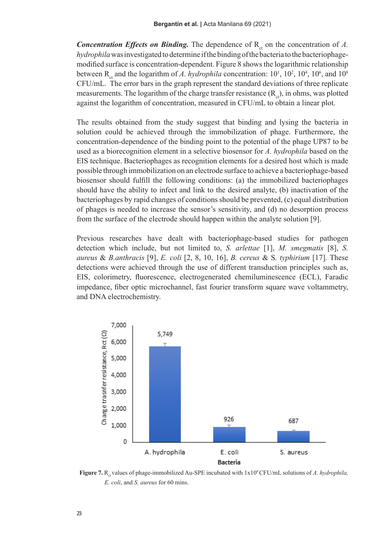*Concentration Effects on Binding.* The dependence of  $R<sub>ct</sub>$  on the concentration of *A*. *hydrophila* was investigated to determine if the binding of the bacteria to the bacteriophagemodified surface is concentration-dependent. Figure 8 shows the logarithmic relationship between R<sub>ct</sub> and the logarithm of *A. hydrophila* concentration:  $10^1$ ,  $10^2$ ,  $10^4$ ,  $10^6$ , and  $10^8$ CFU/mL. The error bars in the graph represent the standard deviations of three replicate measurements. The logarithm of the charge transfer resistance  $(R<sub>ct</sub>)$ , in ohms, was plotted against the logarithm of concentration, measured in CFU/mL to obtain a linear plot.

The results obtained from the study suggest that binding and lysing the bacteria in solution could be achieved through the immobilization of phage. Furthermore, the concentration-dependence of the binding point to the potential of the phage UP87 to be used as a biorecognition element in a selective biosensor for *A. hydrophila* based on the EIS technique. Bacteriophages as recognition elements for a desired host which is made possible through immobilization on an electrode surface to achieve a bacteriophage-based biosensor should fulfill the following conditions: (a) the immobilized bacteriophages should have the ability to infect and link to the desired analyte, (b) inactivation of the bacteriophages by rapid changes of conditions should be prevented, (c) equal distribution of phages is needed to increase the sensor's sensitivity, and (d) no desorption process from the surface of the electrode should happen within the analyte solution [9].

Previous researches have dealt with bacteriophage-based studies for pathogen detection which include, but not limited to, *S. arlettae* [1], *M. smegmatis* [8], *S. aureus* & *B.anthracis* [9], *E. coli* [2, 8, 10, 16], *B. cereus* & S*. typhirium* [17]. These detections were achieved through the use of different transduction principles such as, EIS, colorimetry, fluorescence, electrogenerated chemiluminescence (ECL), Faradic impedance, fiber optic microchannel, fast fourier transform square wave voltammetry, and DNA electrochemistry.



**Figure 7.** R<sub>ct</sub> values of phage-immobilized Au-SPE incubated with 1x10<sup>8</sup> CFU/mL solutions of *A. hydrophila, E. coli*, and *S. aureus* for 60 mins.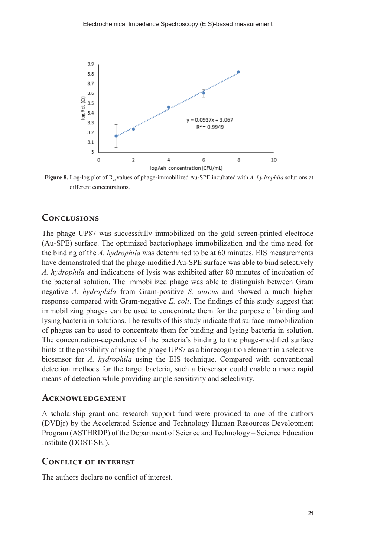

**Figure 8.** Log-log plot of  $R_{c}$  values of phage-immobilized Au-SPE incubated with A. hydrophila solutions at different concentrations.

#### **Conclusions**

The phage UP87 was successfully immobilized on the gold screen-printed electrode (Au-SPE) surface. The optimized bacteriophage immobilization and the time need for the binding of the *A. hydrophila* was determined to be at 60 minutes. EIS measurements have demonstrated that the phage-modified Au-SPE surface was able to bind selectively *A. hydrophila* and indications of lysis was exhibited after 80 minutes of incubation of the bacterial solution. The immobilized phage was able to distinguish between Gram negative *A. hydrophila* from Gram-positive *S. aureus* and showed a much higher response compared with Gram-negative *E. coli*. The findings of this study suggest that immobilizing phages can be used to concentrate them for the purpose of binding and lysing bacteria in solutions. The results of this study indicate that surface immobilization of phages can be used to concentrate them for binding and lysing bacteria in solution. The concentration-dependence of the bacteria's binding to the phage-modified surface hints at the possibility of using the phage UP87 as a biorecognition element in a selective biosensor for *A. hydrophila* using the EIS technique. Compared with conventional detection methods for the target bacteria, such a biosensor could enable a more rapid means of detection while providing ample sensitivity and selectivity.

#### **Acknowledgement**

A scholarship grant and research support fund were provided to one of the authors (DVBjr) by the Accelerated Science and Technology Human Resources Development Program (ASTHRDP) of the Department of Science and Technology – Science Education Institute (DOST-SEI).

#### **Conflict of interest**

The authors declare no conflict of interest.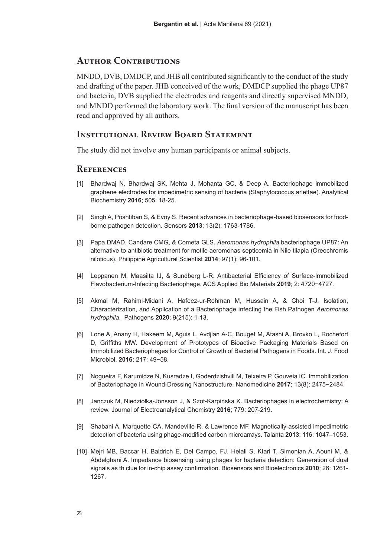#### **Author Contributions**

MNDD, DVB, DMDCP, and JHB all contributed significantly to the conduct of the study and drafting of the paper. JHB conceived of the work, DMDCP supplied the phage UP87 and bacteria, DVB supplied the electrodes and reagents and directly supervised MNDD, and MNDD performed the laboratory work. The final version of the manuscript has been read and approved by all authors.

#### **Institutional Review Board Statement**

The study did not involve any human participants or animal subjects.

#### **References**

- [1] Bhardwaj N, Bhardwaj SK, Mehta J, Mohanta GC, & Deep A. Bacteriophage immobilized graphene electrodes for impedimetric sensing of bacteria (Staphylococcus arlettae). Analytical Biochemistry **2016**; 505: 18-25.
- [2] Singh A, Poshtiban S, & Evoy S. Recent advances in bacteriophage-based biosensors for foodborne pathogen detection. Sensors **2013**; 13(2): 1763-1786.
- [3] Papa DMAD, Candare CMG, & Cometa GLS. *Aeromonas hydrophila* bacteriophage UP87: An alternative to antibiotic treatment for motile aeromonas septicemia in Nile tilapia (Oreochromis niloticus). Philippine Agricultural Scientist **2014**; 97(1): 96-101.
- [4] Leppanen M, Maasilta IJ, & Sundberg L-R. Antibacterial Efficiency of Surface-Immobilized Flavobacterium-Infecting Bacteriophage. ACS Applied Bio Materials **2019**; 2: 4720−4727.
- [5] Akmal M, Rahimi-Midani A, Hafeez-ur-Rehman M, Hussain A, & Choi T-J. Isolation, Characterization, and Application of a Bacteriophage Infecting the Fish Pathogen *Aeromonas hydrophila*. Pathogens **2020**; 9(215): 1-13.
- [6] Lone A, Anany H, Hakeem M, Aguis L, Avdjian A-C, Bouget M, Atashi A, Brovko L, Rochefort D, Griffiths MW. Development of Prototypes of Bioactive Packaging Materials Based on Immobilized Bacteriophages for Control of Growth of Bacterial Pathogens in Foods. Int. J. Food Microbiol. **2016**; 217: 49−58.
- [7] Nogueira F, Karumidze N, Kusradze I, Goderdzishvili M, Teixeira P, Gouveia IC. Immobilization of Bacteriophage in Wound-Dressing Nanostructure. Nanomedicine **2017**; 13(8): 2475−2484.
- [8] Janczuk M, Niedziółka-Jönsson J, & Szot-Karpińska K. Bacteriophages in electrochemistry: A review. Journal of Electroanalytical Chemistry **2016**; 779: 207-219.
- [9] Shabani A, Marquette CA, Mandeville R, & Lawrence MF. Magnetically-assisted impedimetric detection of bacteria using phage-modified carbon microarrays. Talanta **2013**; 116: 1047–1053.
- [10] Mejri MB, Baccar H, Baldrich E, Del Campo, FJ, Helali S, Ktari T, Simonian A, Aouni M, & Abdelghani A. Impedance biosensing using phages for bacteria detection: Generation of dual signals as th clue for in-chip assay confirmation. Biosensors and Bioelectronics **2010**; 26: 1261- 1267.